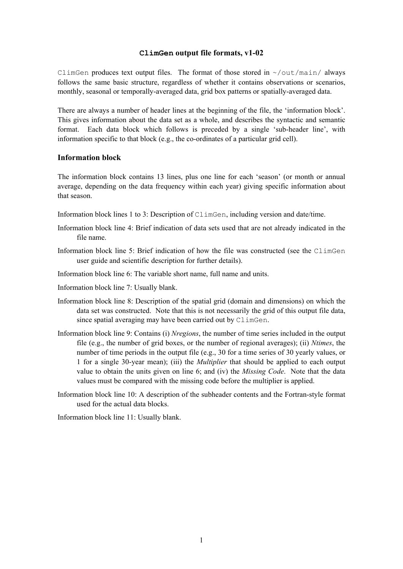## **ClimGen output file formats, v1-02**

ClimGen produces text output files. The format of those stored in  $\sim$ / $\text{out/main/}$  always follows the same basic structure, regardless of whether it contains observations or scenarios, monthly, seasonal or temporally-averaged data, grid box patterns or spatially-averaged data.

There are always a number of header lines at the beginning of the file, the 'information block'. This gives information about the data set as a whole, and describes the syntactic and semantic format. Each data block which follows is preceded by a single 'sub-header line', with information specific to that block (e.g., the co-ordinates of a particular grid cell).

## **Information block**

The information block contains 13 lines, plus one line for each 'season' (or month or annual average, depending on the data frequency within each year) giving specific information about that season.

- Information block lines 1 to 3: Description of ClimGen, including version and date/time.
- Information block line 4: Brief indication of data sets used that are not already indicated in the file name.
- Information block line 5: Brief indication of how the file was constructed (see the ClimGen user guide and scientific description for further details).
- Information block line 6: The variable short name, full name and units.
- Information block line 7: Usually blank.
- Information block line 8: Description of the spatial grid (domain and dimensions) on which the data set was constructed. Note that this is not necessarily the grid of this output file data, since spatial averaging may have been carried out by ClimGen.
- Information block line 9: Contains (i) *Nregions*, the number of time series included in the output file (e.g., the number of grid boxes, or the number of regional averages); (ii) *Ntimes*, the number of time periods in the output file (e.g., 30 for a time series of 30 yearly values, or 1 for a single 30-year mean); (iii) the *Multiplier* that should be applied to each output value to obtain the units given on line 6; and (iv) the *Missing Code*. Note that the data values must be compared with the missing code before the multiplier is applied.
- Information block line 10: A description of the subheader contents and the Fortran-style format used for the actual data blocks.

Information block line 11: Usually blank.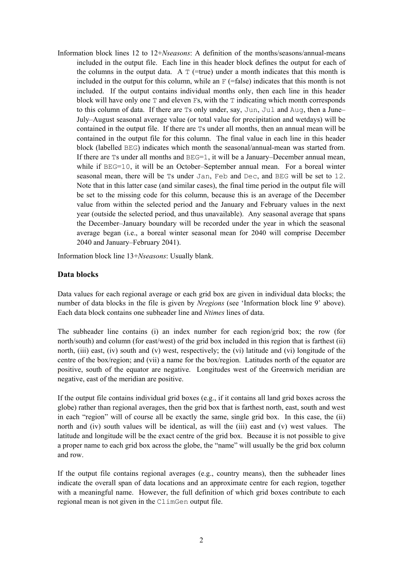Information block lines 12 to 12+*Nseasons*: A definition of the months/seasons/annual-means included in the output file. Each line in this header block defines the output for each of the columns in the output data. A  $T$  (=true) under a month indicates that this month is included in the output for this column, while an  $F$  (=false) indicates that this month is not included. If the output contains individual months only, then each line in this header block will have only one  $T$  and eleven  $Fs$ , with the  $T$  indicating which month corresponds to this column of data. If there are Ts only under, say, Jun, Jul and Aug, then a June– July–August seasonal average value (or total value for precipitation and wetdays) will be contained in the output file. If there are Ts under all months, then an annual mean will be contained in the output file for this column. The final value in each line in this header block (labelled BEG) indicates which month the seasonal/annual-mean was started from. If there are  $\text{Ts}$  under all months and  $\text{BEG=1}$ , it will be a January–December annual mean, while if BEG=10, it will be an October–September annual mean. For a boreal winter seasonal mean, there will be Ts under Jan, Feb and Dec, and BEG will be set to 12. Note that in this latter case (and similar cases), the final time period in the output file will be set to the missing code for this column, because this is an average of the December value from within the selected period and the January and February values in the next year (outside the selected period, and thus unavailable). Any seasonal average that spans the December–January boundary will be recorded under the year in which the seasonal average began (i.e., a boreal winter seasonal mean for 2040 will comprise December 2040 and January–February 2041).

Information block line 13+*Nseasons*: Usually blank.

## **Data blocks**

Data values for each regional average or each grid box are given in individual data blocks; the number of data blocks in the file is given by *Nregions* (see 'Information block line 9' above). Each data block contains one subheader line and *Ntimes* lines of data.

The subheader line contains (i) an index number for each region/grid box; the row (for north/south) and column (for east/west) of the grid box included in this region that is farthest (ii) north, (iii) east, (iv) south and (v) west, respectively; the (vi) latitude and (vi) longitude of the centre of the box/region; and (vii) a name for the box/region. Latitudes north of the equator are positive, south of the equator are negative. Longitudes west of the Greenwich meridian are negative, east of the meridian are positive.

If the output file contains individual grid boxes (e.g., if it contains all land grid boxes across the globe) rather than regional averages, then the grid box that is farthest north, east, south and west in each "region" will of course all be exactly the same, single grid box. In this case, the (ii) north and (iv) south values will be identical, as will the (iii) east and (v) west values. The latitude and longitude will be the exact centre of the grid box. Because it is not possible to give a proper name to each grid box across the globe, the "name" will usually be the grid box column and row.

If the output file contains regional averages (e.g., country means), then the subheader lines indicate the overall span of data locations and an approximate centre for each region, together with a meaningful name. However, the full definition of which grid boxes contribute to each regional mean is not given in the ClimGen output file.